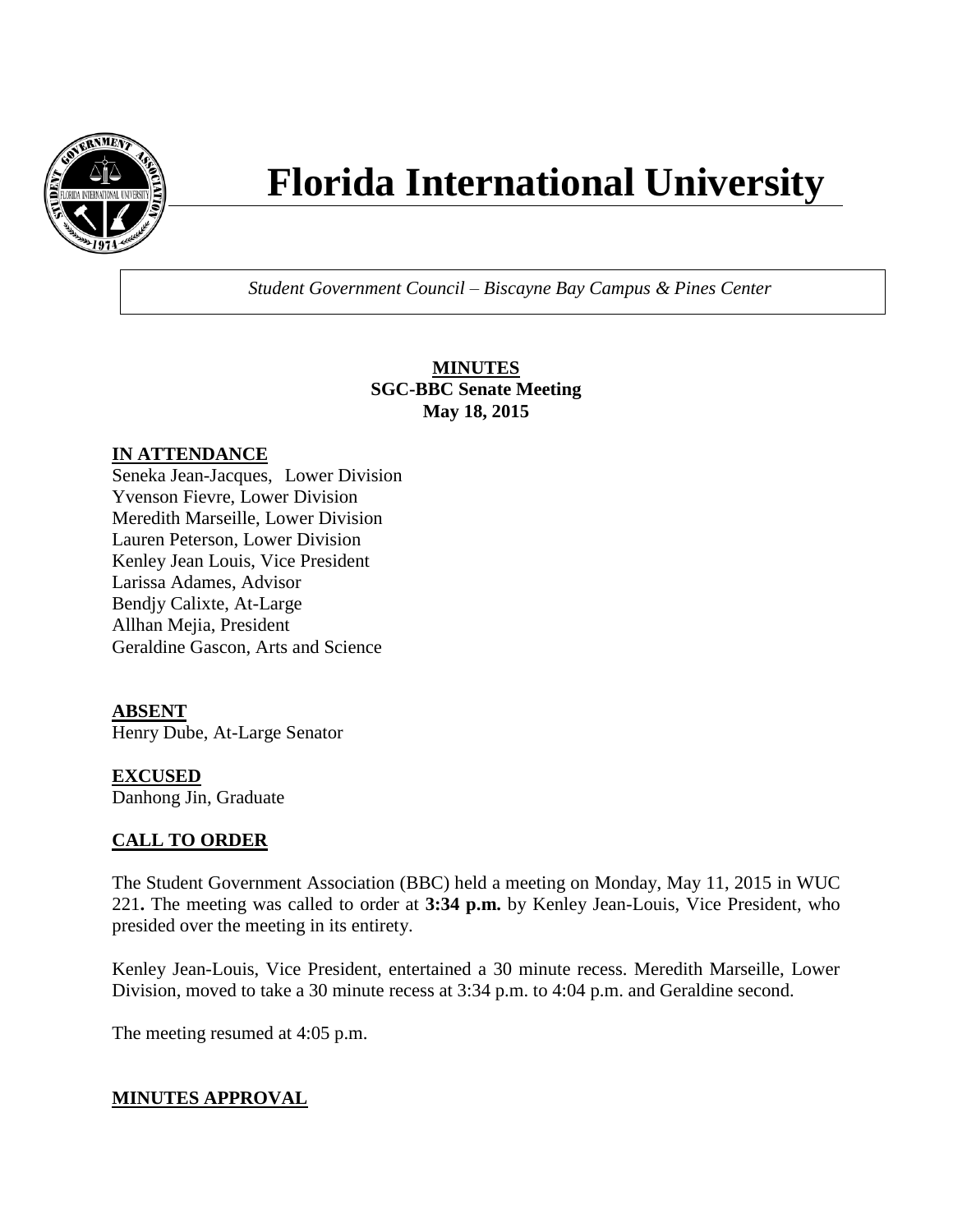

# **Florida International University**

*Student Government Council – Biscayne Bay Campus & Pines Center*

**MINUTES SGC-BBC Senate Meeting May 18, 2015**

## **IN ATTENDANCE**

Seneka Jean-Jacques, Lower Division Yvenson Fievre, Lower Division Meredith Marseille, Lower Division Lauren Peterson, Lower Division Kenley Jean Louis, Vice President Larissa Adames, Advisor Bendjy Calixte, At-Large Allhan Mejia, President Geraldine Gascon, Arts and Science

## **ABSENT**

Henry Dube, At-Large Senator

# **EXCUSED**

Danhong Jin, Graduate

## **CALL TO ORDER**

The Student Government Association (BBC) held a meeting on Monday, May 11, 2015 in WUC 221**.** The meeting was called to order at **3:34 p.m.** by Kenley Jean-Louis, Vice President, who presided over the meeting in its entirety.

Kenley Jean-Louis, Vice President, entertained a 30 minute recess. Meredith Marseille, Lower Division, moved to take a 30 minute recess at 3:34 p.m. to 4:04 p.m. and Geraldine second.

The meeting resumed at 4:05 p.m.

## **MINUTES APPROVAL**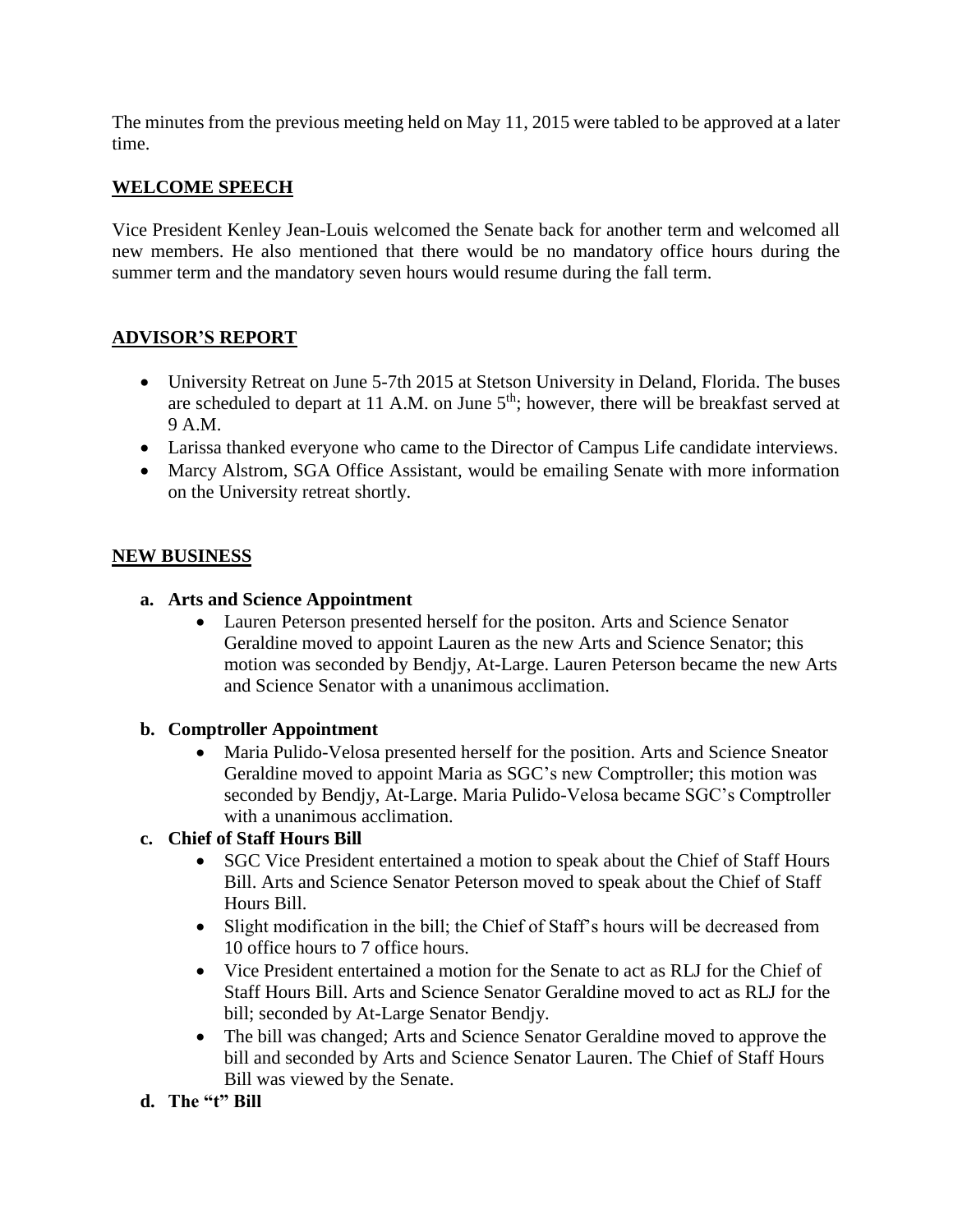The minutes from the previous meeting held on May 11, 2015 were tabled to be approved at a later time.

# **WELCOME SPEECH**

Vice President Kenley Jean-Louis welcomed the Senate back for another term and welcomed all new members. He also mentioned that there would be no mandatory office hours during the summer term and the mandatory seven hours would resume during the fall term.

# **ADVISOR'S REPORT**

- University Retreat on June 5-7th 2015 at Stetson University in Deland, Florida. The buses are scheduled to depart at 11 A.M. on June  $5<sup>th</sup>$ ; however, there will be breakfast served at 9 A.M.
- Larissa thanked everyone who came to the Director of Campus Life candidate interviews.
- Marcy Alstrom, SGA Office Assistant, would be emailing Senate with more information on the University retreat shortly.

## **NEW BUSINESS**

- **a. Arts and Science Appointment** 
	- Lauren Peterson presented herself for the positon. Arts and Science Senator Geraldine moved to appoint Lauren as the new Arts and Science Senator; this motion was seconded by Bendjy, At-Large. Lauren Peterson became the new Arts and Science Senator with a unanimous acclimation.

## **b. Comptroller Appointment**

 Maria Pulido-Velosa presented herself for the position. Arts and Science Sneator Geraldine moved to appoint Maria as SGC's new Comptroller; this motion was seconded by Bendjy, At-Large. Maria Pulido-Velosa became SGC's Comptroller with a unanimous acclimation.

# **c. Chief of Staff Hours Bill**

- SGC Vice President entertained a motion to speak about the Chief of Staff Hours Bill. Arts and Science Senator Peterson moved to speak about the Chief of Staff Hours Bill.
- Slight modification in the bill; the Chief of Staff's hours will be decreased from 10 office hours to 7 office hours.
- Vice President entertained a motion for the Senate to act as RLJ for the Chief of Staff Hours Bill. Arts and Science Senator Geraldine moved to act as RLJ for the bill; seconded by At-Large Senator Bendjy.
- The bill was changed; Arts and Science Senator Geraldine moved to approve the bill and seconded by Arts and Science Senator Lauren. The Chief of Staff Hours Bill was viewed by the Senate.
- **d. The "t" Bill**